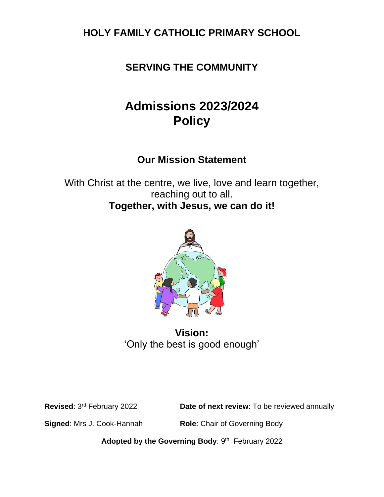**HOLY FAMILY CATHOLIC PRIMARY SCHOOL**

**SERVING THE COMMUNITY**

# **Admissions 2023/2024 Policy**

## **Our Mission Statement**

With Christ at the centre, we live, love and learn together, reaching out to all. **Together, with Jesus, we can do it!**



**Vision:** 'Only the best is good enough'

**Revised**: 3

**Date of next review**: To be reviewed annually

**Signed: Mrs J. Cook-Hannah <b>Role**: Chair of Governing Body

Adopted by the Governing Body: 9<sup>th</sup> February 2022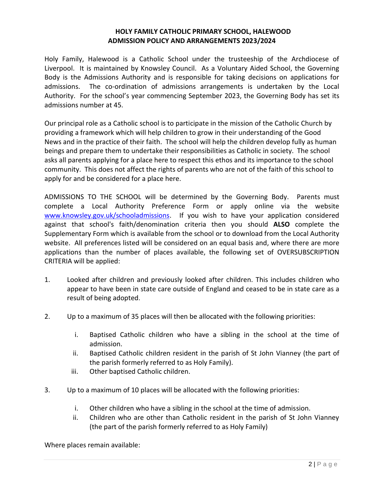#### **HOLY FAMILY CATHOLIC PRIMARY SCHOOL, HALEWOOD ADMISSION POLICY AND ARRANGEMENTS 2023/2024**

Holy Family, Halewood is a Catholic School under the trusteeship of the Archdiocese of Liverpool. It is maintained by Knowsley Council. As a Voluntary Aided School, the Governing Body is the Admissions Authority and is responsible for taking decisions on applications for admissions. The co-ordination of admissions arrangements is undertaken by the Local Authority. For the school's year commencing September 2023, the Governing Body has set its admissions number at 45.

Our principal role as a Catholic school is to participate in the mission of the Catholic Church by providing a framework which will help children to grow in their understanding of the Good News and in the practice of their faith. The school will help the children develop fully as human beings and prepare them to undertake their responsibilities as Catholic in society. The school asks all parents applying for a place here to respect this ethos and its importance to the school community. This does not affect the rights of parents who are not of the faith of this school to apply for and be considered for a place here.

ADMISSIONS TO THE SCHOOL will be determined by the Governing Body. Parents must complete a Local Authority Preference Form or apply online via the website [www.knowsley.gov.uk/schooladmissions.](http://www.knowsley.gov.uk/schooladmissions) If you wish to have your application considered against that school's faith/denomination criteria then you should **ALSO** complete the Supplementary Form which is available from the school or to download from the Local Authority website. All preferences listed will be considered on an equal basis and, where there are more applications than the number of places available, the following set of OVERSUBSCRIPTION CRITERIA will be applied:

- 1. Looked after children and previously looked after children. This includes children who appear to have been in state care outside of England and ceased to be in state care as a result of being adopted.
- 2. Up to a maximum of 35 places will then be allocated with the following priorities:
	- i. Baptised Catholic children who have a sibling in the school at the time of admission.
	- ii. Baptised Catholic children resident in the parish of St John Vianney (the part of the parish formerly referred to as Holy Family).
	- iii. Other baptised Catholic children.
- 3. Up to a maximum of 10 places will be allocated with the following priorities:
	- i. Other children who have a sibling in the school at the time of admission.
	- ii. Children who are other than Catholic resident in the parish of St John Vianney (the part of the parish formerly referred to as Holy Family)

Where places remain available: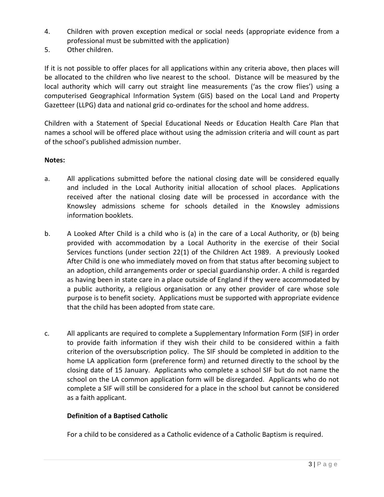- 4. Children with proven exception medical or social needs (appropriate evidence from a professional must be submitted with the application)
- 5. Other children.

If it is not possible to offer places for all applications within any criteria above, then places will be allocated to the children who live nearest to the school. Distance will be measured by the local authority which will carry out straight line measurements ('as the crow flies') using a computerised Geographical Information System (GIS) based on the Local Land and Property Gazetteer (LLPG) data and national grid co-ordinates for the school and home address.

Children with a Statement of Special Educational Needs or Education Health Care Plan that names a school will be offered place without using the admission criteria and will count as part of the school's published admission number.

### **Notes:**

- a. All applications submitted before the national closing date will be considered equally and included in the Local Authority initial allocation of school places. Applications received after the national closing date will be processed in accordance with the Knowsley admissions scheme for schools detailed in the Knowsley admissions information booklets.
- b. A Looked After Child is a child who is (a) in the care of a Local Authority, or (b) being provided with accommodation by a Local Authority in the exercise of their Social Services functions (under section 22(1) of the Children Act 1989. A previously Looked After Child is one who immediately moved on from that status after becoming subject to an adoption, child arrangements order or special guardianship order. A child is regarded as having been in state care in a place outside of England if they were accommodated by a public authority, a religious organisation or any other provider of care whose sole purpose is to benefit society. Applications must be supported with appropriate evidence that the child has been adopted from state care.
- c. All applicants are required to complete a Supplementary Information Form (SIF) in order to provide faith information if they wish their child to be considered within a faith criterion of the oversubscription policy. The SIF should be completed in addition to the home LA application form (preference form) and returned directly to the school by the closing date of 15 January. Applicants who complete a school SIF but do not name the school on the LA common application form will be disregarded. Applicants who do not complete a SIF will still be considered for a place in the school but cannot be considered as a faith applicant.

#### **Definition of a Baptised Catholic**

For a child to be considered as a Catholic evidence of a Catholic Baptism is required.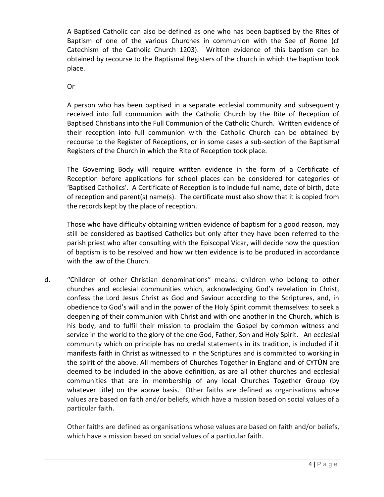A Baptised Catholic can also be defined as one who has been baptised by the Rites of Baptism of one of the various Churches in communion with the See of Rome (cf Catechism of the Catholic Church 1203). Written evidence of this baptism can be obtained by recourse to the Baptismal Registers of the church in which the baptism took place.

Or

A person who has been baptised in a separate ecclesial community and subsequently received into full communion with the Catholic Church by the Rite of Reception of Baptised Christians into the Full Communion of the Catholic Church. Written evidence of their reception into full communion with the Catholic Church can be obtained by recourse to the Register of Receptions, or in some cases a sub-section of the Baptismal Registers of the Church in which the Rite of Reception took place.

The Governing Body will require written evidence in the form of a Certificate of Reception before applications for school places can be considered for categories of 'Baptised Catholics'. A Certificate of Reception is to include full name, date of birth, date of reception and parent(s) name(s). The certificate must also show that it is copied from the records kept by the place of reception.

Those who have difficulty obtaining written evidence of baptism for a good reason, may still be considered as baptised Catholics but only after they have been referred to the parish priest who after consulting with the Episcopal Vicar, will decide how the question of baptism is to be resolved and how written evidence is to be produced in accordance with the law of the Church.

d. "Children of other Christian denominations" means: children who belong to other churches and ecclesial communities which, acknowledging God's revelation in Christ, confess the Lord Jesus Christ as God and Saviour according to the Scriptures, and, in obedience to God's will and in the power of the Holy Spirit commit themselves: to seek a deepening of their communion with Christ and with one another in the Church, which is his body; and to fulfil their mission to proclaim the Gospel by common witness and service in the world to the glory of the one God, Father, Son and Holy Spirit. An ecclesial community which on principle has no credal statements in its tradition, is included if it manifests faith in Christ as witnessed to in the Scriptures and is committed to working in the spirit of the above. All members of Churches Together in England and of CYTÛN are deemed to be included in the above definition, as are all other churches and ecclesial communities that are in membership of any local Churches Together Group (by whatever title) on the above basis. Other faiths are defined as organisations whose values are based on faith and/or beliefs, which have a mission based on social values of a particular faith.

Other faiths are defined as organisations whose values are based on faith and/or beliefs, which have a mission based on social values of a particular faith.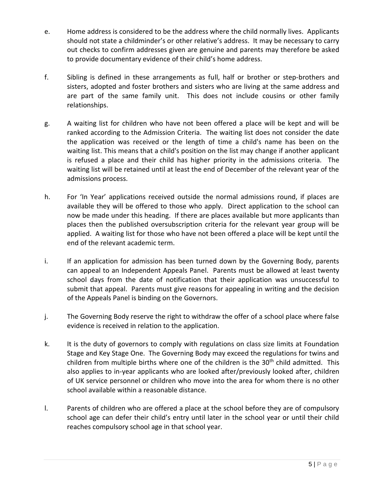- e. Home address is considered to be the address where the child normally lives. Applicants should not state a childminder's or other relative's address. It may be necessary to carry out checks to confirm addresses given are genuine and parents may therefore be asked to provide documentary evidence of their child's home address.
- f. Sibling is defined in these arrangements as full, half or brother or step-brothers and sisters, adopted and foster brothers and sisters who are living at the same address and are part of the same family unit. This does not include cousins or other family relationships.
- g. A waiting list for children who have not been offered a place will be kept and will be ranked according to the Admission Criteria. The waiting list does not consider the date the application was received or the length of time a child's name has been on the waiting list. This means that a child's position on the list may change if another applicant is refused a place and their child has higher priority in the admissions criteria. The waiting list will be retained until at least the end of December of the relevant year of the admissions process.
- h. For 'In Year' applications received outside the normal admissions round, if places are available they will be offered to those who apply. Direct application to the school can now be made under this heading. If there are places available but more applicants than places then the published oversubscription criteria for the relevant year group will be applied. A waiting list for those who have not been offered a place will be kept until the end of the relevant academic term.
- i. If an application for admission has been turned down by the Governing Body, parents can appeal to an Independent Appeals Panel. Parents must be allowed at least twenty school days from the date of notification that their application was unsuccessful to submit that appeal. Parents must give reasons for appealing in writing and the decision of the Appeals Panel is binding on the Governors.
- j. The Governing Body reserve the right to withdraw the offer of a school place where false evidence is received in relation to the application.
- k. It is the duty of governors to comply with regulations on class size limits at Foundation Stage and Key Stage One. The Governing Body may exceed the regulations for twins and children from multiple births where one of the children is the 30<sup>th</sup> child admitted. This also applies to in-year applicants who are looked after/previously looked after, children of UK service personnel or children who move into the area for whom there is no other school available within a reasonable distance.
- l. Parents of children who are offered a place at the school before they are of compulsory school age can defer their child's entry until later in the school year or until their child reaches compulsory school age in that school year.